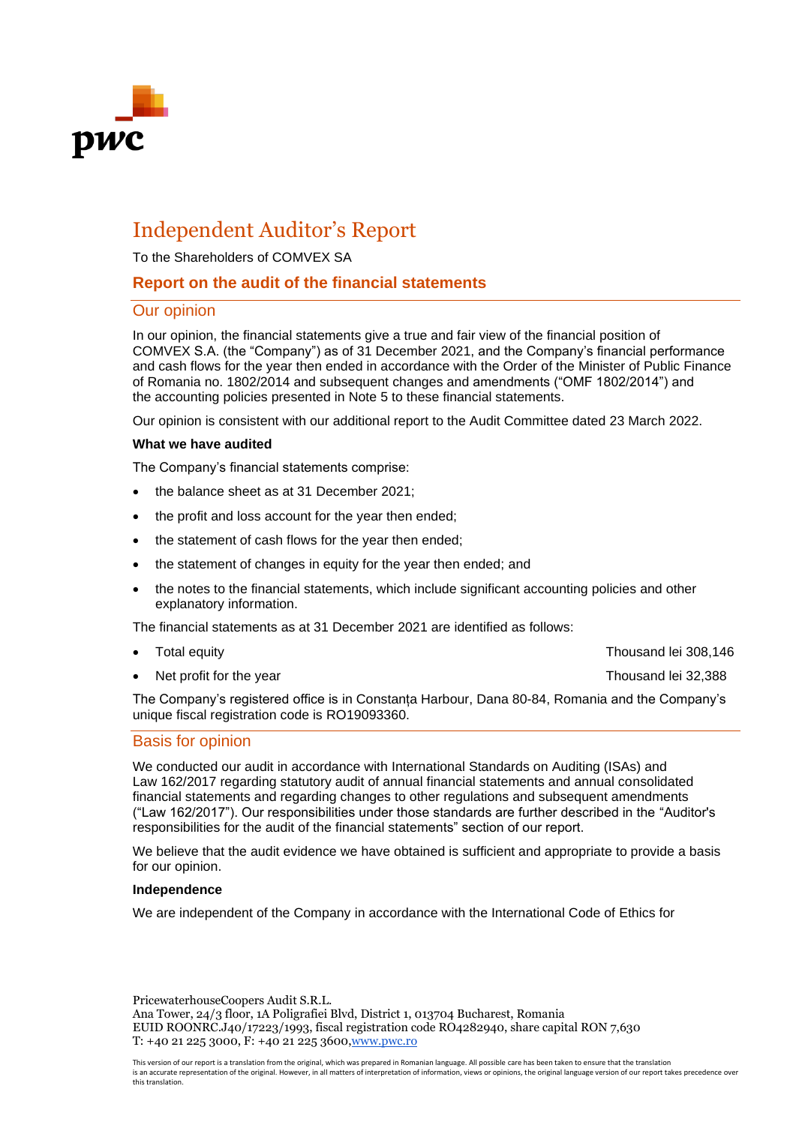

# Independent Auditor's Report

To the Shareholders of COMVEX SA

# **Report on the audit of the financial statements**

# Our opinion

In our opinion, the financial statements give a true and fair view of the financial position of COMVEX S.A. (the "Company") as of 31 December 2021, and the Company's financial performance and cash flows for the year then ended in accordance with the Order of the Minister of Public Finance of Romania no. 1802/2014 and subsequent changes and amendments ("OMF 1802/2014") and the accounting policies presented in Note 5 to these financial statements.

Our opinion is consistent with our additional report to the Audit Committee dated 23 March 2022.

#### **What we have audited**

The Company's financial statements comprise:

- the balance sheet as at 31 December 2021;
- the profit and loss account for the year then ended;
- the statement of cash flows for the year then ended;
- the statement of changes in equity for the year then ended; and
- the notes to the financial statements, which include significant accounting policies and other explanatory information.

The financial statements as at 31 December 2021 are identified as follows:

- 
- Net profit for the year Net profit for the year Net profit for the year Net profit for the year Net profit is a set of the set of the set of the set of the set of the set of the set of the set of the set of the set of the

• Total equity Thousand lei 308,146

The Company's registered office is in Constanța Harbour, Dana 80-84, Romania and the Company's unique fiscal registration code is RO19093360.

# Basis for opinion

We conducted our audit in accordance with International Standards on Auditing (ISAs) and Law 162/2017 regarding statutory audit of annual financial statements and annual consolidated financial statements and regarding changes to other regulations and subsequent amendments ("Law 162/2017"). Our responsibilities under those standards are further described in the "Auditor's responsibilities for the audit of the financial statements" section of our report.

We believe that the audit evidence we have obtained is sufficient and appropriate to provide a basis for our opinion.

#### **Independence**

We are independent of the Company in accordance with the International Code of Ethics for

PricewaterhouseCoopers Audit S.R.L.

Ana Tower, 24/3 floor, 1A Poligrafiei Blvd, District 1, 013704 Bucharest, Romania EUID ROONRC.J40/17223/1993, fiscal registration code RO4282940, share capital RON 7,630 T: +40 21 225 3000, F: +40 21 225 3600[,www.pwc.ro](http://www.pwc.ro/)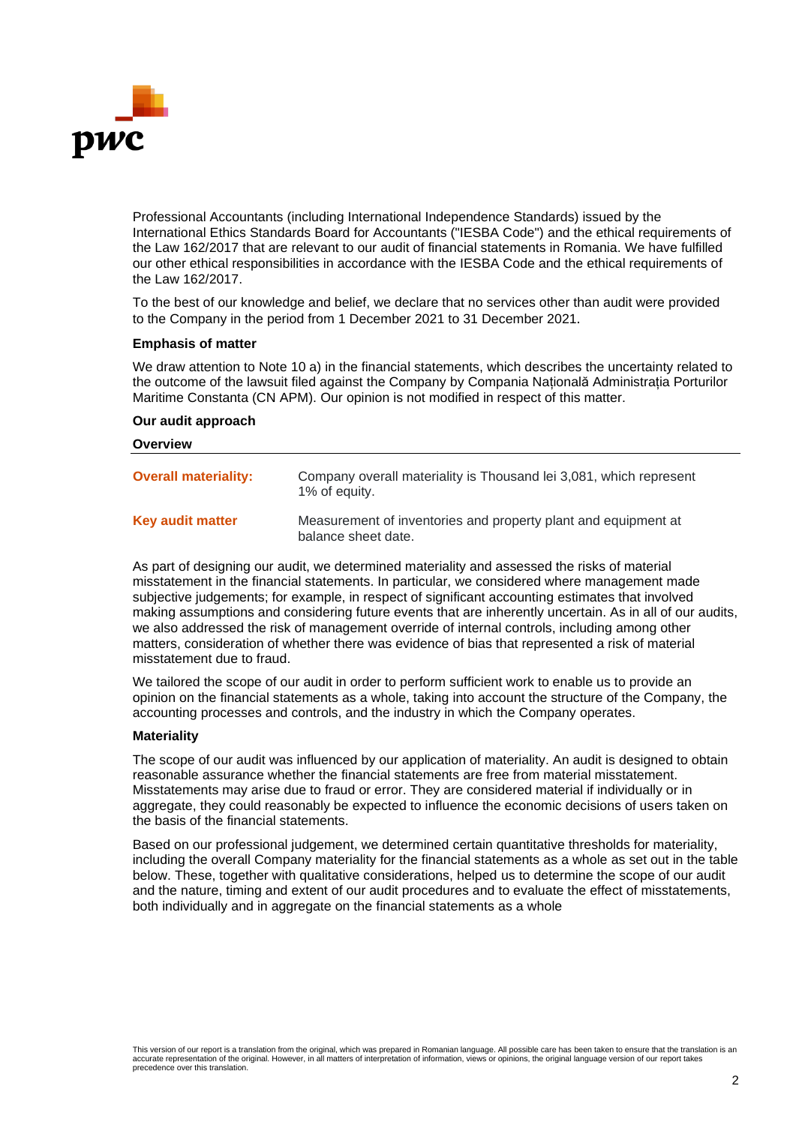

Professional Accountants (including International Independence Standards) issued by the International Ethics Standards Board for Accountants ("IESBA Code") and the ethical requirements of the Law 162/2017 that are relevant to our audit of financial statements in Romania. We have fulfilled our other ethical responsibilities in accordance with the IESBA Code and the ethical requirements of the Law 162/2017.

To the best of our knowledge and belief, we declare that no services other than audit were provided to the Company in the period from 1 December 2021 to 31 December 2021.

#### **Emphasis of matter**

We draw attention to Note 10 a) in the financial statements, which describes the uncertainty related to the outcome of the lawsuit filed against the Company by Compania Națională Administrația Porturilor Maritime Constanta (CN APM). Our opinion is not modified in respect of this matter.

### **Our audit approach**

#### **Overview**

| <b>Overall materiality:</b> | Company overall materiality is Thousand lei 3,081, which represent<br>1% of equity.   |
|-----------------------------|---------------------------------------------------------------------------------------|
| <b>Key audit matter</b>     | Measurement of inventories and property plant and equipment at<br>balance sheet date. |

As part of designing our audit, we determined materiality and assessed the risks of material misstatement in the financial statements. In particular, we considered where management made subjective judgements; for example, in respect of significant accounting estimates that involved making assumptions and considering future events that are inherently uncertain. As in all of our audits, we also addressed the risk of management override of internal controls, including among other matters, consideration of whether there was evidence of bias that represented a risk of material misstatement due to fraud.

We tailored the scope of our audit in order to perform sufficient work to enable us to provide an opinion on the financial statements as a whole, taking into account the structure of the Company, the accounting processes and controls, and the industry in which the Company operates.

#### **Materiality**

The scope of our audit was influenced by our application of materiality. An audit is designed to obtain reasonable assurance whether the financial statements are free from material misstatement. Misstatements may arise due to fraud or error. They are considered material if individually or in aggregate, they could reasonably be expected to influence the economic decisions of users taken on the basis of the financial statements.

Based on our professional judgement, we determined certain quantitative thresholds for materiality, including the overall Company materiality for the financial statements as a whole as set out in the table below. These, together with qualitative considerations, helped us to determine the scope of our audit and the nature, timing and extent of our audit procedures and to evaluate the effect of misstatements, both individually and in aggregate on the financial statements as a whole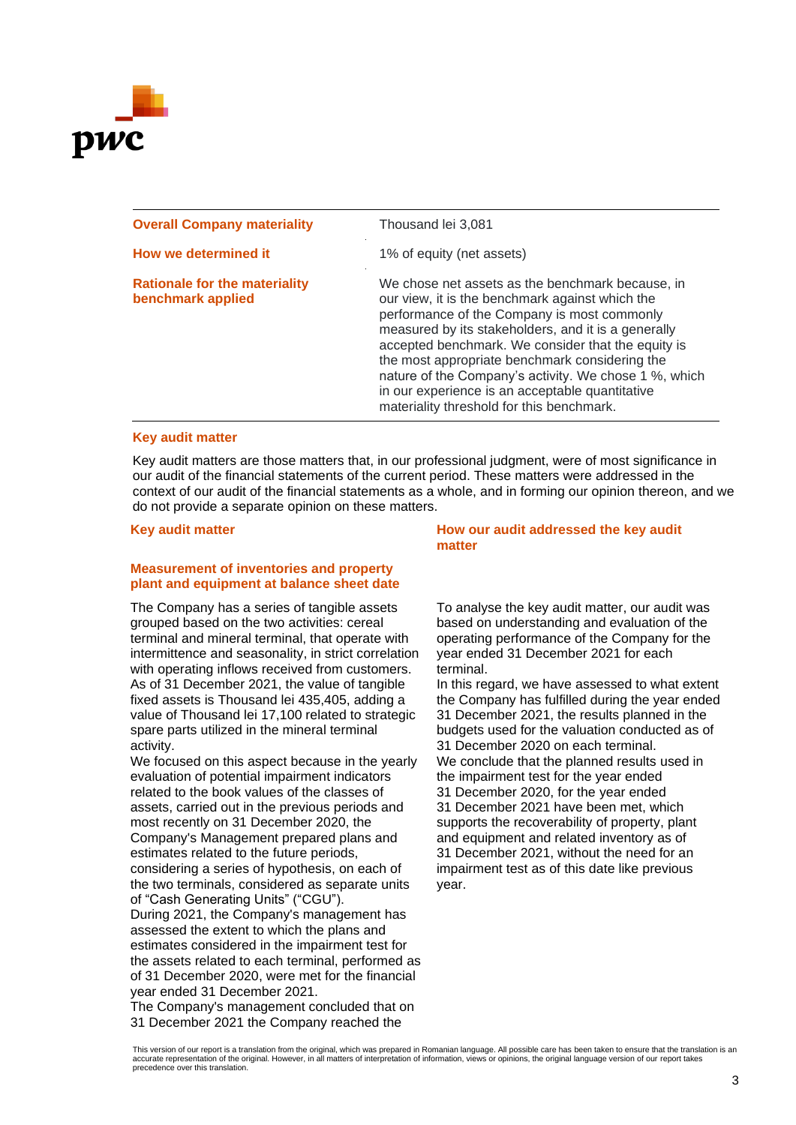

| <b>Overall Company materiality</b>                        | Thousand lei 3,081                                                                                                                                                                                                                                                                                                                                                                                                                                                         |
|-----------------------------------------------------------|----------------------------------------------------------------------------------------------------------------------------------------------------------------------------------------------------------------------------------------------------------------------------------------------------------------------------------------------------------------------------------------------------------------------------------------------------------------------------|
| How we determined it                                      | 1% of equity (net assets)                                                                                                                                                                                                                                                                                                                                                                                                                                                  |
| <b>Rationale for the materiality</b><br>benchmark applied | We chose net assets as the benchmark because, in<br>our view, it is the benchmark against which the<br>performance of the Company is most commonly<br>measured by its stakeholders, and it is a generally<br>accepted benchmark. We consider that the equity is<br>the most appropriate benchmark considering the<br>nature of the Company's activity. We chose 1 %, which<br>in our experience is an acceptable quantitative<br>materiality threshold for this benchmark. |

#### **Key audit matter**

Key audit matters are those matters that, in our professional judgment, were of most significance in our audit of the financial statements of the current period. These matters were addressed in the context of our audit of the financial statements as a whole, and in forming our opinion thereon, and we do not provide a separate opinion on these matters.

#### **Measurement of inventories and property plant and equipment at balance sheet date**

The Company has a series of tangible assets grouped based on the two activities: cereal terminal and mineral terminal, that operate with intermittence and seasonality, in strict correlation with operating inflows received from customers. As of 31 December 2021, the value of tangible fixed assets is Thousand lei 435,405, adding a value of Thousand lei 17,100 related to strategic spare parts utilized in the mineral terminal activity.

We focused on this aspect because in the yearly evaluation of potential impairment indicators related to the book values of the classes of assets, carried out in the previous periods and most recently on 31 December 2020, the Company's Management prepared plans and estimates related to the future periods, considering a series of hypothesis, on each of the two terminals, considered as separate units of "Cash Generating Units" ("CGU"). During 2021, the Company's management has assessed the extent to which the plans and estimates considered in the impairment test for

the assets related to each terminal, performed as of 31 December 2020, were met for the financial year ended 31 December 2021.

The Company's management concluded that on 31 December 2021 the Company reached the

**Key audit matter How our audit addressed the key audit matter**

> To analyse the key audit matter, our audit was based on understanding and evaluation of the operating performance of the Company for the year ended 31 December 2021 for each terminal.

In this regard, we have assessed to what extent the Company has fulfilled during the year ended 31 December 2021, the results planned in the budgets used for the valuation conducted as of 31 December 2020 on each terminal. We conclude that the planned results used in the impairment test for the year ended 31 December 2020, for the year ended 31 December 2021 have been met, which supports the recoverability of property, plant and equipment and related inventory as of 31 December 2021, without the need for an impairment test as of this date like previous year.

This version of our report is a translation from the original, which was prepared in Romanian language. All possible care has been taken to ensure that the translation is an accurate representation of the original. However, in all matters of interpretation of information, views or opinions, the original language version of our report takes precedence over this translation.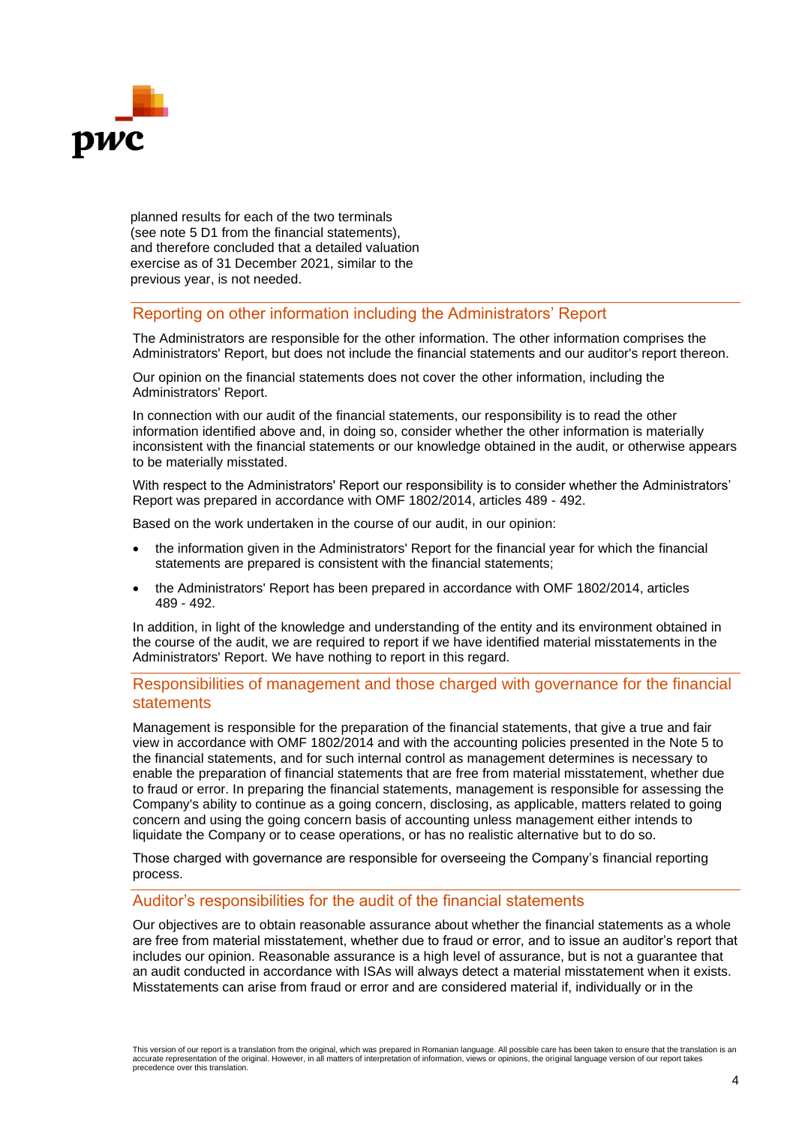

planned results for each of the two terminals (see note 5 D1 from the financial statements), and therefore concluded that a detailed valuation exercise as of 31 December 2021, similar to the previous year, is not needed.

# Reporting on other information including the Administrators' Report

The Administrators are responsible for the other information. The other information comprises the Administrators' Report, but does not include the financial statements and our auditor's report thereon.

Our opinion on the financial statements does not cover the other information, including the Administrators' Report.

In connection with our audit of the financial statements, our responsibility is to read the other information identified above and, in doing so, consider whether the other information is materially inconsistent with the financial statements or our knowledge obtained in the audit, or otherwise appears to be materially misstated.

With respect to the Administrators' Report our responsibility is to consider whether the Administrators' Report was prepared in accordance with OMF 1802/2014, articles 489 - 492.

Based on the work undertaken in the course of our audit, in our opinion:

- the information given in the Administrators' Report for the financial year for which the financial statements are prepared is consistent with the financial statements;
- the Administrators' Report has been prepared in accordance with OMF 1802/2014, articles 489 - 492.

In addition, in light of the knowledge and understanding of the entity and its environment obtained in the course of the audit, we are required to report if we have identified material misstatements in the Administrators' Report. We have nothing to report in this regard.

# Responsibilities of management and those charged with governance for the financial statements

Management is responsible for the preparation of the financial statements, that give a true and fair view in accordance with OMF 1802/2014 and with the accounting policies presented in the Note 5 to the financial statements, and for such internal control as management determines is necessary to enable the preparation of financial statements that are free from material misstatement, whether due to fraud or error. In preparing the financial statements, management is responsible for assessing the Company's ability to continue as a going concern, disclosing, as applicable, matters related to going concern and using the going concern basis of accounting unless management either intends to liquidate the Company or to cease operations, or has no realistic alternative but to do so.

Those charged with governance are responsible for overseeing the Company's financial reporting process.

# Auditor's responsibilities for the audit of the financial statements

Our objectives are to obtain reasonable assurance about whether the financial statements as a whole are free from material misstatement, whether due to fraud or error, and to issue an auditor's report that includes our opinion. Reasonable assurance is a high level of assurance, but is not a guarantee that an audit conducted in accordance with ISAs will always detect a material misstatement when it exists. Misstatements can arise from fraud or error and are considered material if, individually or in the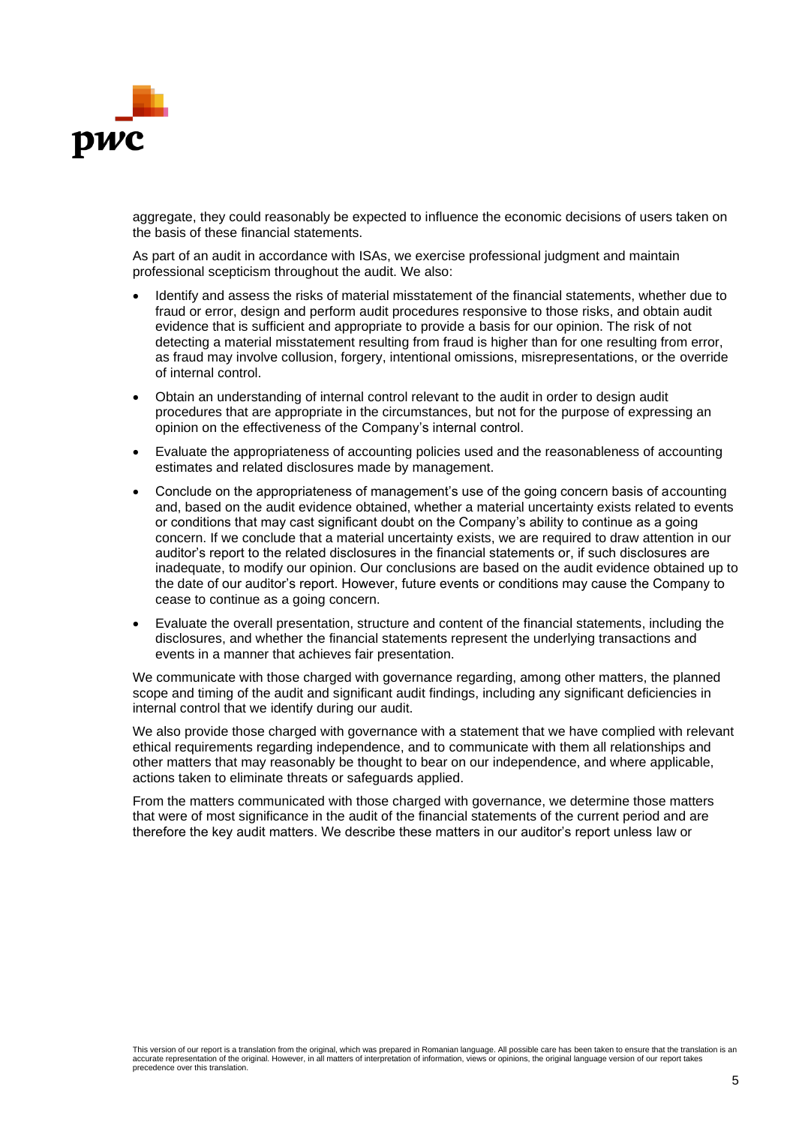

aggregate, they could reasonably be expected to influence the economic decisions of users taken on the basis of these financial statements.

As part of an audit in accordance with ISAs, we exercise professional judgment and maintain professional scepticism throughout the audit. We also:

- Identify and assess the risks of material misstatement of the financial statements, whether due to fraud or error, design and perform audit procedures responsive to those risks, and obtain audit evidence that is sufficient and appropriate to provide a basis for our opinion. The risk of not detecting a material misstatement resulting from fraud is higher than for one resulting from error, as fraud may involve collusion, forgery, intentional omissions, misrepresentations, or the override of internal control.
- Obtain an understanding of internal control relevant to the audit in order to design audit procedures that are appropriate in the circumstances, but not for the purpose of expressing an opinion on the effectiveness of the Company's internal control.
- Evaluate the appropriateness of accounting policies used and the reasonableness of accounting estimates and related disclosures made by management.
- Conclude on the appropriateness of management's use of the going concern basis of accounting and, based on the audit evidence obtained, whether a material uncertainty exists related to events or conditions that may cast significant doubt on the Company's ability to continue as a going concern. If we conclude that a material uncertainty exists, we are required to draw attention in our auditor's report to the related disclosures in the financial statements or, if such disclosures are inadequate, to modify our opinion. Our conclusions are based on the audit evidence obtained up to the date of our auditor's report. However, future events or conditions may cause the Company to cease to continue as a going concern.
- Evaluate the overall presentation, structure and content of the financial statements, including the disclosures, and whether the financial statements represent the underlying transactions and events in a manner that achieves fair presentation.

We communicate with those charged with governance regarding, among other matters, the planned scope and timing of the audit and significant audit findings, including any significant deficiencies in internal control that we identify during our audit.

We also provide those charged with governance with a statement that we have complied with relevant ethical requirements regarding independence, and to communicate with them all relationships and other matters that may reasonably be thought to bear on our independence, and where applicable, actions taken to eliminate threats or safeguards applied.

From the matters communicated with those charged with governance, we determine those matters that were of most significance in the audit of the financial statements of the current period and are therefore the key audit matters. We describe these matters in our auditor's report unless law or